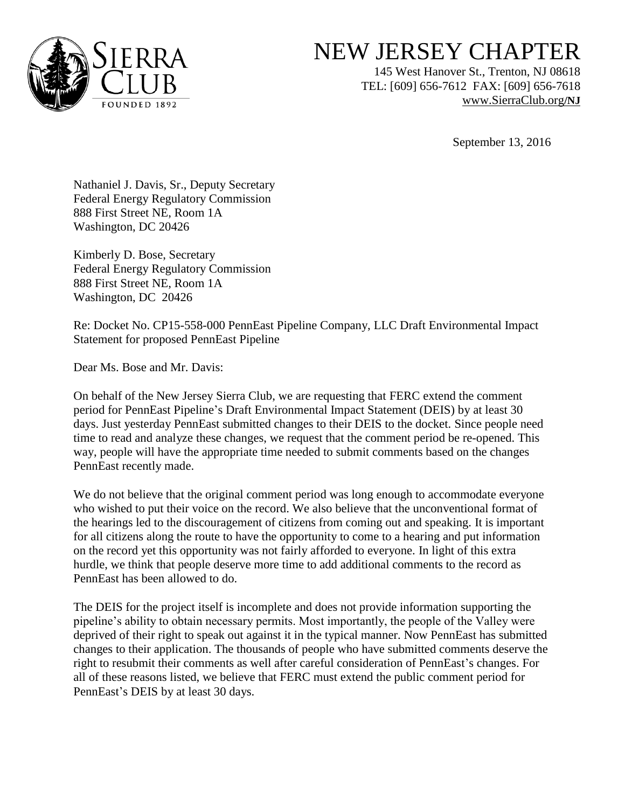

## NEW JERSEY CHAPTER

145 West Hanover St., Trenton, NJ 08618 TEL: [609] 656-7612 FAX: [609] 656-7618 [www.SierraClub.org](http://www.sierraclub.org/)**/NJ**

September 13, 2016

Nathaniel J. Davis, Sr., Deputy Secretary Federal Energy Regulatory Commission 888 First Street NE, Room 1A Washington, DC 20426

Kimberly D. Bose, Secretary Federal Energy Regulatory Commission 888 First Street NE, Room 1A Washington, DC 20426

Re: Docket No. CP15-558-000 PennEast Pipeline Company, LLC Draft Environmental Impact Statement for proposed PennEast Pipeline

Dear Ms. Bose and Mr. Davis:

On behalf of the New Jersey Sierra Club, we are requesting that FERC extend the comment period for PennEast Pipeline's Draft Environmental Impact Statement (DEIS) by at least 30 days. Just yesterday PennEast submitted changes to their DEIS to the docket. Since people need time to read and analyze these changes, we request that the comment period be re-opened. This way, people will have the appropriate time needed to submit comments based on the changes PennEast recently made.

We do not believe that the original comment period was long enough to accommodate everyone who wished to put their voice on the record. We also believe that the unconventional format of the hearings led to the discouragement of citizens from coming out and speaking. It is important for all citizens along the route to have the opportunity to come to a hearing and put information on the record yet this opportunity was not fairly afforded to everyone. In light of this extra hurdle, we think that people deserve more time to add additional comments to the record as PennEast has been allowed to do.

The DEIS for the project itself is incomplete and does not provide information supporting the pipeline's ability to obtain necessary permits. Most importantly, the people of the Valley were deprived of their right to speak out against it in the typical manner. Now PennEast has submitted changes to their application. The thousands of people who have submitted comments deserve the right to resubmit their comments as well after careful consideration of PennEast's changes. For all of these reasons listed, we believe that FERC must extend the public comment period for PennEast's DEIS by at least 30 days.